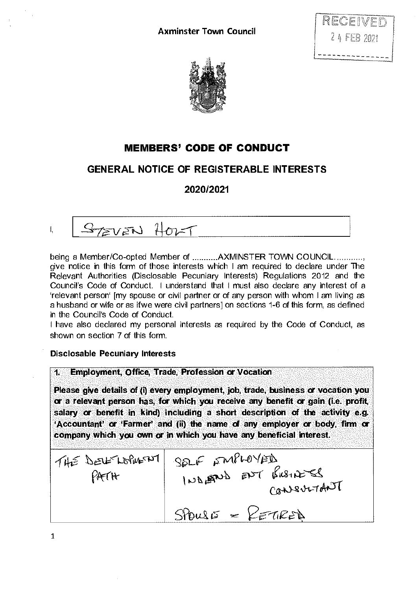



## **MEMBERS' CODE OF CONDUCT**

## **GENERAL NOTICE OF REGISTERABLE INTERESTS**

**2020/2021** 

I,

STEVEN HOLT

being a Member/Co-opted Member of ...........AXMINSTER TOWN COUNCIL............. give notice in this form of those interests which I am required to declare under The Relevant Authorities (Disclosable Pecuniary Interests) Regulations 2012 and the Council's Code of Conduct. I understand that I must also declare any interest of a 'relevant person' [my spouse or civil partner or of any person with whom I am living as a husband or wife or as ifwe were civil partners] on sections 1-6 of this form, as defined in the Council's Code of Conduct.

I have also declared my personal interests as required by the Code of Conduct, as shown on section 7 of this form.

**Disclosable Pecuniary Interests** 

**1. Employment, Office, Trade, Profession or Vocation** 

**Please give details of** (i) **every employment, job, trade, business or vocation you or a relevant person has, for which you receive any benefit or gain (i.e. profit, salary or benefit in kind) including a short description of the activity e.g. 'Accountant' or 'Farmer' and** (ii) **the name of any employer or body, firm or company which you own or in which you have any beneficial interest.** 

| PATH | THE DEVE LOPING NT SELF SMPLOYED<br>2 Enewy The Super or<br>CONSULTANT |
|------|------------------------------------------------------------------------|
|      | $SrouS = KETIRED$                                                      |

1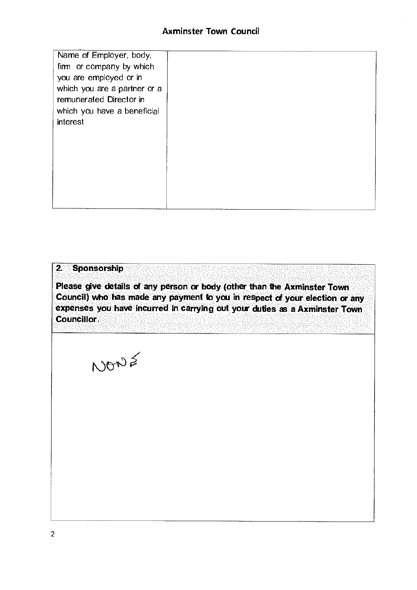| Name of Employer, body,<br>firm or company by which |  |
|-----------------------------------------------------|--|
| you are employed or in                              |  |
| which you are a partner or a                        |  |
| remunerated Director in                             |  |
| which you have a beneficial                         |  |
| interest                                            |  |
|                                                     |  |
|                                                     |  |
|                                                     |  |
|                                                     |  |
|                                                     |  |
|                                                     |  |
|                                                     |  |
|                                                     |  |

## 2. Sponsorship

Please give details of any person or body (other than the Axminster Town Council) who has made any payment to you in respect of your election or any expenses you have incurred in carrying out your duties as a Axminster Town **Councillor** 

NONS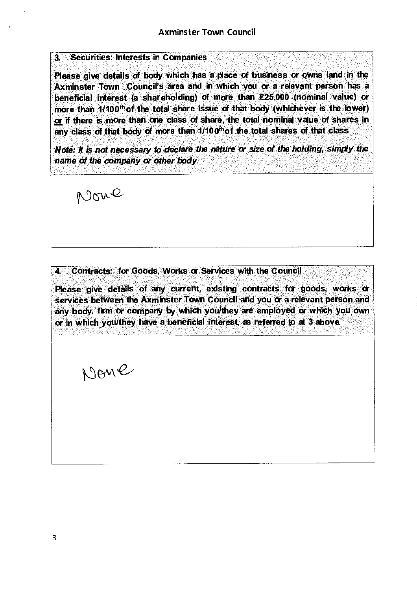## 3. Securities: Interests in Companies

Please give details of body which has a place of business or owns land in the **Axminster Town Council's area and In which you or a relevant person has a**  beneficial interest (a shareholding) of more than £25,000 (nominal value) or more than 1/100<sup>th</sup> of the total share issue of that body (whichever is the lower) or if there is more than one class of share, the total nominal value of shares in any class of that body of more than  $1/100<sup>th</sup>$  of the total shares of that class

*Note: It is not necessary to declare the nature or* size *of the holding, simply the name of the company or other body.* 

None

4. Contracts: for Goods, Works or Services with the Council

Please give details of any current, existing contracts for goods, works or services between the Axminster Town Council and you or a relevant person and any body, firrn or company by which you/they are employed or which you own or in which you/they have a beneficial interest, as referred to at 3 above.

Nome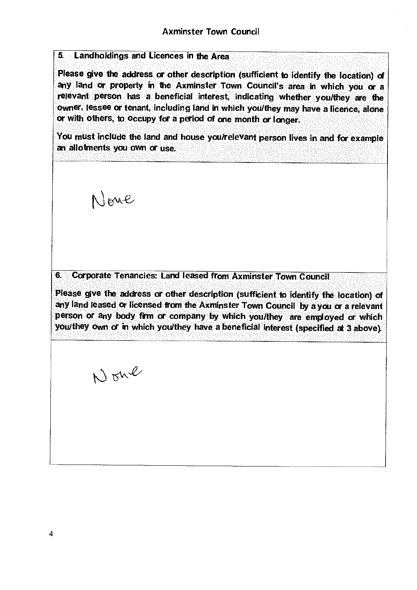5. Landholdings and Licences in the Area

Please give the address or other description (sufficient to identify the location) of any land or property in the Axminster Town Council's area in which you or a relevant person has a beneficial interest, indicating whether you/they are the owner, lessee or tenant, Including land in which you/they may have a licence, alone or with others, to occupy for a period of one month or longer.

You must include the land and house you/relevant person lives in and for example an allotments you own or use.

Neme

6. Corporate Tenancies: Land leased from Axminster Town Council

Please give the address or other description (sufficient to Identify the location) of any land leased or licensed from the Axminster Town Council by a you or a relevant person or any body firm or company by which you/they are employed or which you/they own or in which you/they have a beneficial Interest (specified at 3 above).

None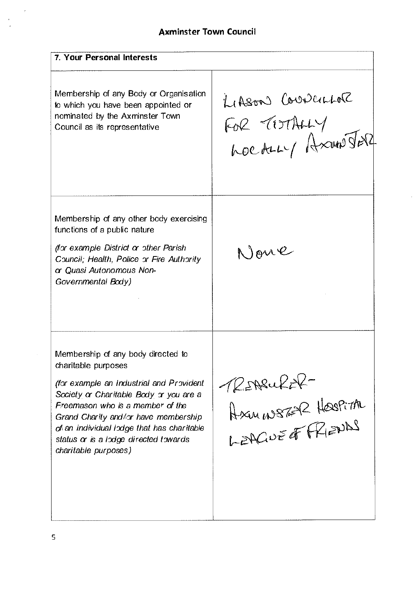**7. Your Personal Interests**  LIASON CoverLor Membership of any Body or Organisation to which you have been appointed or FOR TOTALLY nominated by the Axminster Town **Council as its representative**  hoc ALLY Axun Jer Membership of any other body exercising functions of a public nature None *(for example District or other Parish Council; Health, Police or Fire Authority or Quasi Autonomous Non-Governmental Body)*  Membership of any body directed to charitable purposes *4s&.a*-*(for example an Industrial and Provident Society or Charitable Body or you are* a Axuns 62 Haspira *Freemason who is* **a** *member of the Grand Charity and/or have membership*  .2Ao*±ab" of an individual lodge that has charitable status or is* a *lodge directed towards charitable purposes)*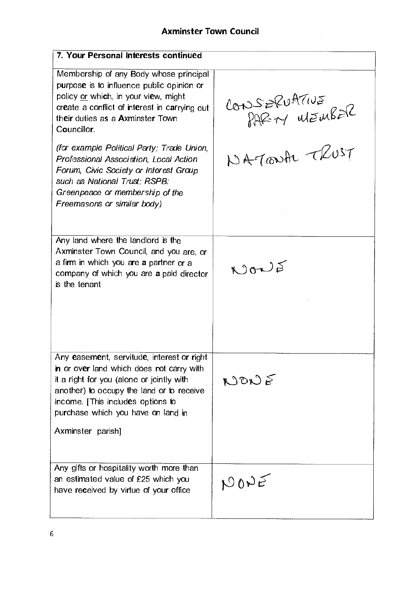$\ddot{\phantom{0}}$ 

 $\hat{\mathcal{A}}$ 

| 7. Your Personal Interests continued                                                                                                                                                                                                                                              |                              |
|-----------------------------------------------------------------------------------------------------------------------------------------------------------------------------------------------------------------------------------------------------------------------------------|------------------------------|
| Membership of any Body whose principal<br>purpose is to influence public opinion or<br>policy or which, in your view, might<br>create a conflict of interest in carrying out<br>their duties as a Axminster Town<br>Councillor.                                                   | CONSERVATIVE<br>PAREN MEMBER |
| (for example Political Party; Trade Union,<br>Professional Association, Local Action<br>Forum, Civic Society or Interest Group<br>such as National Trust; RSPB;<br>Greenpeace or membership of the<br>Freemasons or similar body)                                                 | NATONA TRUST                 |
| Any land where the landlord is the<br>Axminster Town Council, and you are, or<br>a firm in which you are a partner or a<br>company of which you are a paid director<br>is the tenant                                                                                              | NONS                         |
| Any easement, servitude, interest or right<br>in or over land which does not carry with<br>it a right for you (alone or jointly with<br>another) to occupy the land or to receive<br>income. [This includes options to<br>purchase which you have on land in<br>Axminster parish] | $N$ ON $\epsilon$            |
| Any gifts or hospitality worth more than<br>an estimated value of £25 which you<br>have received by virtue of your office                                                                                                                                                         | NONE                         |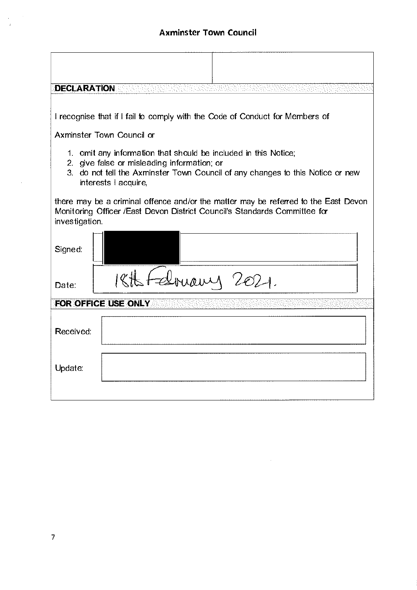| <b>DECLARATION</b>                                                                                                                                                                                                       |
|--------------------------------------------------------------------------------------------------------------------------------------------------------------------------------------------------------------------------|
| I recognise that if I fail to comply with the Code of Conduct for Members of                                                                                                                                             |
| Axminster Town Council or                                                                                                                                                                                                |
| 1. omit any information that should be included in this Notice;<br>2. give false or misleading information; or<br>3. do not tell the Axminster Town Council of any changes to this Notice or new<br>interests   acquire, |
| there may be a criminal offence and/or the matter may be referred to the East Devon<br>Monitoring Officer / East Devon District Council's Standards Committee for<br>investigation.                                      |
| Signed:                                                                                                                                                                                                                  |
| Arnamy 2021.<br>Date:                                                                                                                                                                                                    |
| FOR OFFICE USE ONLY                                                                                                                                                                                                      |
| Received:                                                                                                                                                                                                                |
| Update:                                                                                                                                                                                                                  |
|                                                                                                                                                                                                                          |

 $\label{eq:2.1} \frac{1}{\sqrt{2}}\int_{\mathbb{R}^3}\frac{1}{\sqrt{2}}\left(\frac{1}{\sqrt{2}}\right)^2\frac{1}{\sqrt{2}}\left(\frac{1}{\sqrt{2}}\right)^2\frac{1}{\sqrt{2}}\left(\frac{1}{\sqrt{2}}\right)^2\frac{1}{\sqrt{2}}\left(\frac{1}{\sqrt{2}}\right)^2.$ 

 $\frac{1}{\sqrt{2}}\frac{1}{\sqrt{2}}\frac{d\phi}{d\phi}$ 

 $\mathcal{L}^{\text{max}}_{\text{max}}$